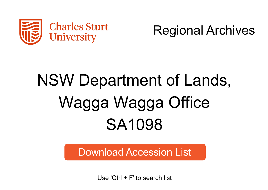

Regional Archives

## NSW Department of Lands, Wagga Wagga Office SA1098

Download Accession List

Use 'Ctrl + F' to search list